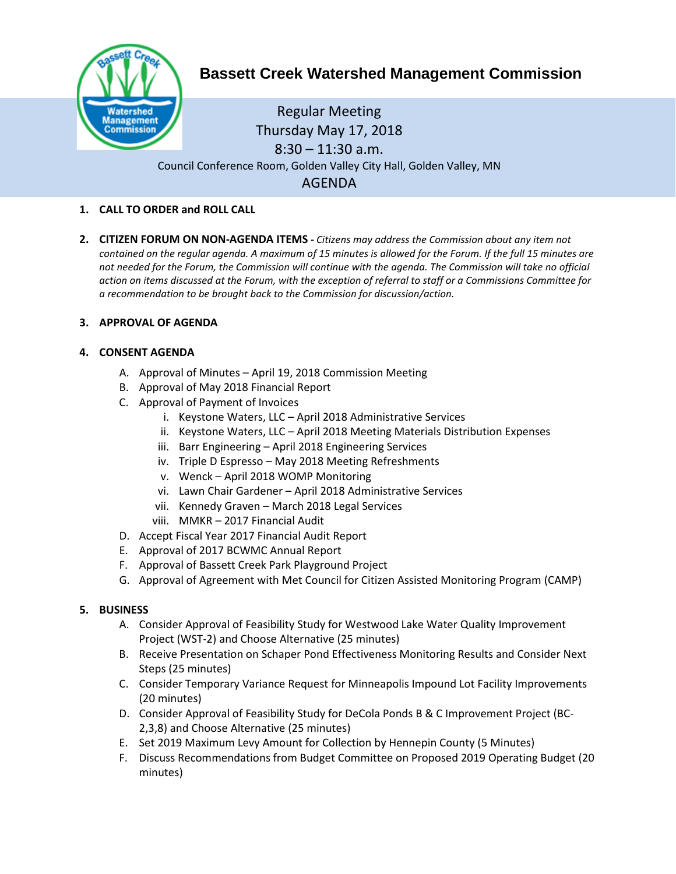

# **Bassett Creek Watershed Management Commission**

Regular Meeting Thursday May 17, 2018  $8:30 - 11:30$  a.m. Council Conference Room, Golden Valley City Hall, Golden Valley, MN AGENDA

## **1. CALL TO ORDER and ROLL CALL**

**2. CITIZEN FORUM ON NON-AGENDA ITEMS -** *Citizens may address the Commission about any item not contained on the regular agenda. A maximum of 15 minutes is allowed for the Forum. If the full 15 minutes are*  not needed for the Forum, the Commission will continue with the agenda. The Commission will take no official *action on items discussed at the Forum, with the exception of referral to staff or a Commissions Committee for a recommendation to be brought back to the Commission for discussion/action.*

## **3. APPROVAL OF AGENDA**

### **4. CONSENT AGENDA**

- A. Approval of Minutes April 19, 2018 Commission Meeting
- B. Approval of May 2018 Financial Report
- C. Approval of Payment of Invoices
	- i. Keystone Waters, LLC April 2018 Administrative Services
	- ii. Keystone Waters, LLC April 2018 Meeting Materials Distribution Expenses
	- iii. Barr Engineering April 2018 Engineering Services
	- iv. Triple D Espresso May 2018 Meeting Refreshments
	- v. Wenck April 2018 WOMP Monitoring
	- vi. Lawn Chair Gardener April 2018 Administrative Services
	- vii. Kennedy Graven March 2018 Legal Services
	- viii. MMKR 2017 Financial Audit
- D. Accept Fiscal Year 2017 Financial Audit Report
- E. Approval of 2017 BCWMC Annual Report
- F. Approval of Bassett Creek Park Playground Project
- G. Approval of Agreement with Met Council for Citizen Assisted Monitoring Program (CAMP)

#### **5. BUSINESS**

- A. Consider Approval of Feasibility Study for Westwood Lake Water Quality Improvement Project (WST-2) and Choose Alternative (25 minutes)
- B. Receive Presentation on Schaper Pond Effectiveness Monitoring Results and Consider Next Steps (25 minutes)
- C. Consider Temporary Variance Request for Minneapolis Impound Lot Facility Improvements (20 minutes)
- D. Consider Approval of Feasibility Study for DeCola Ponds B & C Improvement Project (BC-2,3,8) and Choose Alternative (25 minutes)
- E. Set 2019 Maximum Levy Amount for Collection by Hennepin County (5 Minutes)
- F. Discuss Recommendations from Budget Committee on Proposed 2019 Operating Budget (20 minutes)